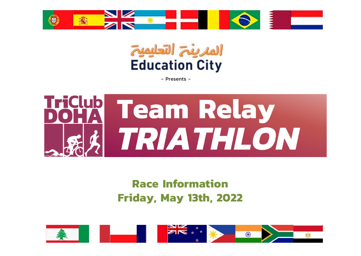



- Presents -



## **Race Information Friday, May 13th, 2022**

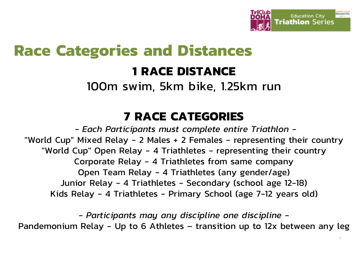

## **Race Categories and Distances**

## **1 RACE DISTANCE**

100m swim, 5km bike, 1.25km run

## **7 RACE CATEGORIES**

*- Each Participants must complete entire Triathlon -* "World Cup" Mixed Relay - 2 Males + 2 Females - representing their country "World Cup" Open Relay - 4 Triathletes - representing their country Corporate Relay - 4 Triathletes from same company Open Team Relay - 4 Triathletes (any gender/age) Junior Relay - 4 Triathletes - Secondary (school age 12-18) Kids Relay - 4 Triathletes - Primary School (age 7-12 years old)

*- Participants may any discipline one discipline -* Pandemonium Relay - Up to 6 Athletes – transition up to 12x between any leg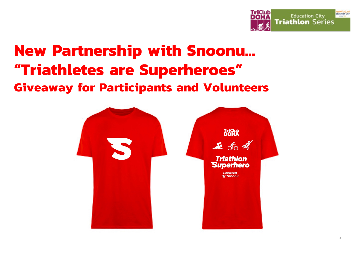

## **New Partnership with Snoonu… "Triathletes are Superheroes" Giveaway for Participants and Volunteers**

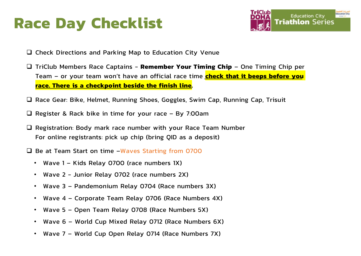## **Race Day Checklist**



- $\Box$  Check Directions and Parking Map to Education City Venue
- q TriClub Members Race Captains **Remember Your Timing Chip** One Timing Chip per Team – or your team won't have an official race time **check that it beeps before you race. There is a checkpoint beside the finish line.**
- $\Box$  Race Gear: Bike, Helmet, Running Shoes, Goggles, Swim Cap, Running Cap, Trisuit
- $\Box$  Register & Rack bike in time for your race By 7:00am
- $\Box$  Registration: Body mark race number with your Race Team Number For online registrants: pick up chip (bring QID as a deposit)
- $\Box$  Be at Team Start on time –Waves Starting from 0700
	- Wave 1 Kids Relay 0700 (race numbers 1X)
	- Wave 2 Junior Relay 0702 (race numbers 2X)
	- Wave 3 Pandemonium Relay 0704 (Race numbers 3X)
	- Wave 4 Corporate Team Relay 0706 (Race Numbers 4X)
	- Wave 5 Open Team Relay 0708 (Race Numbers 5X)
	- Wave 6 World Cup Mixed Relay 0712 (Race Numbers 6X)
	- Wave 7 World Cup Open Relay 0714 (Race Numbers 7X)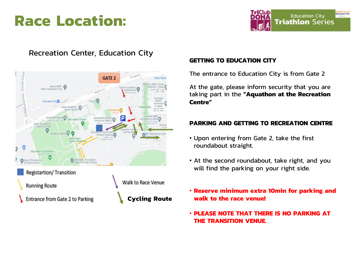## **Race Location:**



## Recreation Center, Education City



## **GETTING TO EDUCATION CITY**

The entrance to Education City is from Gate 2

At the gate, please inform security that you are taking part in the **"Aquathon at the Recreation Centre"** 

## **PARKING AND GETTING TO RECREATION CENTRE**

- Upon entering from Gate 2, take the first roundabout straight.
- At the second roundabout, take right, and you will find the parking on your right side.
- **Reserve minimum extra 10min for parking and walk to the race venue!**
- **PLEASE NOTE THAT THERE IS NO PARKING AT THE TRANSITION VENUE.**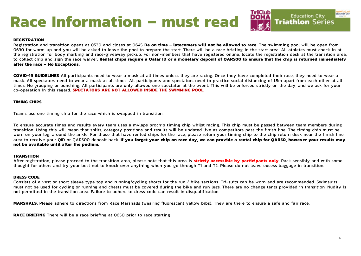# **Race Information – must read**

## **Education City Triathlon Series**

### **REGISTRATION**

Registration and transition opens at 0530 and closes at 0645 **Be on time – latecomers will not be allowed to race.** The swimming pool will be open from 0630 for warm-up and you will be asked to leave the pool to prepare the start. There will be a race briefing in the start area. All athletes must check in at the registration for body marking and race-giveaway pickup. For non-members that have registered online, locate the registration desk at the transition area, to collect chip and sign the race waiver. **Rental chips require a Qatar ID or a monetary deposit of QAR500 to ensure that the chip is returned immediately after the race – No Exceptions.**

**COVID-19 GUIDELINES** All participants need to wear a mask at all times unless they are racing. Once they have completed their race, they need to wear a mask. All spectators need to wear a mask at all times. All participants and spectators need to practice social distancing of 1.5m apart from each other at all times. No grouping or bunching. All participants are only allowed one spectator at the event. This will be enforced strictly on the day, and we ask for your co-operation in this regard. **SPECTATORS ARE NOT ALLOWED INSIDE THE SWIMMING POOL**

#### **TIMING CHIPS**

Teams use one timing chip for the race which is swapped in transition.

To ensure accurate times and results every team uses a mylaps prochip timing chip whilst racing. This chip must be passed between team members during transition. Using this will mean that splits, category positions and results will be updated live as competitors pass the finish line. The timing chip must be worn on your leg, around the ankle. For those that have rented chips for the race, please return your timing chip to the chip return desk near the finish line area to receive your QID or QAR500 deposit back. **If you forget your chip on race day, we can provide a rental chip for QAR50, however your results may not be available until after the podium.**

#### **TRANSITION**

After registration, please proceed to the transition area, please note that this area is **strictly accessible by participants only**. Rack sensibly and with some thought for others and try your best not to knock over anything when you go through T1 and T2. Please do not leave excess baggage in transition.

#### **DRESS CODE**

Consists of a vest or short sleeve type top and running/cycling shorts for the run / bike sections. Tri-suits can be worn and are recommended. Swimsuits must not be used for cycling or running and chests must be covered during the bike and run legs. There are no change tents provided in transition. Nudity is not permitted in the transition area. Failure to adhere to dress code can result in disqualification.

**MARSHALS,** Please adhere to directions from Race Marshalls (wearing fluorescent yellow bibs). They are there to ensure a safe and fair race.

**RACE BRIEFING** There will be a race briefing at 0650 prior to race starting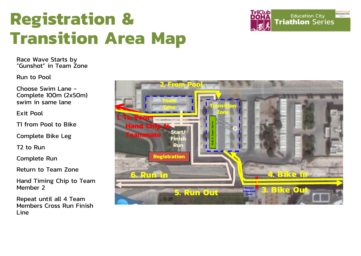

Race Wave Starts by "Gunshot" in Team Zone

Run to Pool

Choose Swim Lane - Complete 100m (2x50m) swim in same lane

Exit Pool

T1 from Pool to Bike

Complete Bike Leg

T2 to Run

Complete Run

Return to Team Zone

Hand Timing Chip to Team Member 2

Repeat until all 4 Team Members Cross Run Finish Line



TriClut

**Education City** 

**Education City Triathlon Series**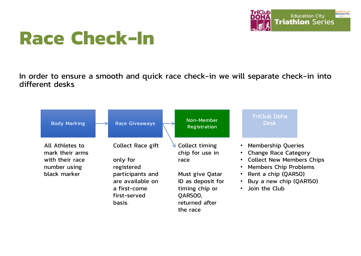

# **Race Check-In**

In order to ensure a smooth and quick race check-in we will separate check-in into different desks

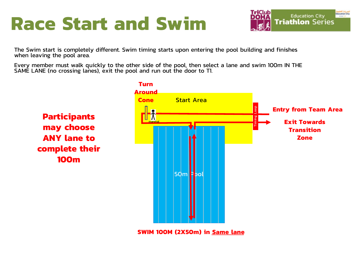# **Race Start and Swim**



The Swim start is completely different. Swim timing starts upon entering the pool building and finishes when leaving the pool area.

Every member must walk quickly to the other side of the pool, then select a lane and swim 100m IN THE SAME LANE (no crossing lanes), exit the pool and run out the door to T1.



**SWIM 100M (2X50m) in Same lane**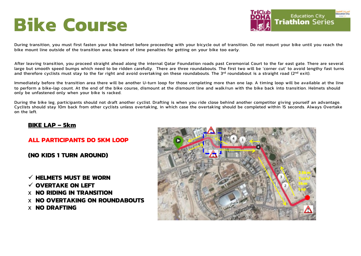# **Bike Course**



During transition, you must first fasten your bike helmet before proceeding with your bicycle out of transition. Do not mount your bike until you reach the bike mount line outside of the transition area; beware of time penalties for getting on your bike too early.

After leaving transition, you proceed straight ahead along the internal Qatar Foundation roads past Ceremonial Court to the far east gate. There are several large but smooth speed bumps which need to be ridden carefully. There are three roundabouts. The first two will be 'corner cut' to avoid lengthy fast turns and therefore cyclists must stay to the far right and avoid overtaking on these roundabouts. The 3rd roundabout is a straight road (2nd exit).

Immediately before the transition area there will be another U-turn loop for those completing more than one lap. A timing loop will be available at the line to perform a bike-lap count. At the end of the bike course, dismount at the dismount line and walk/run with the bike back into transition. Helmets should only be unfastened only when your bike is racked.

During the bike leg, participants should not draft another cyclist. Drafting is when you ride close behind another competitor giving yourself an advantage. Cyclists should stay 10m back from other cyclists unless overtaking, in which case the overtaking should be completed within 15 seconds. Always Overtake on the left.

### **BIKE LAP – 5km**

### **ALL PARTICIPANTS DO 5KM LOOP**

**(NO KIDS 1 TURN AROUND)**

 $\checkmark$  HELMETS MUST BE WORN

- ü **OVERTAKE ON LEFT**
- x **NO RIDING IN TRANSITION**
- x **NO OVERTAKING ON ROUNDABOUTS**
- x **NO DRAFTING**

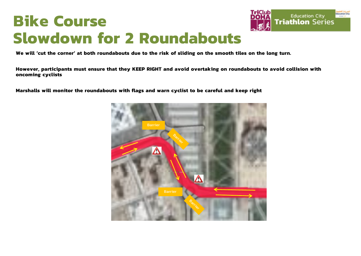## **Bike Course Slowdown for 2 Roundabouts**



**We will 'cut the corner' at both roundabouts due to the risk of sliding on the smooth tiles on the long turn.** 

**However, participants must ensure that they KEEP RIGHT and avoid overtaking on roundabouts to avoid collision with oncoming cyclists**

**Marshalls will monitor the roundabouts with flags and warn cyclist to be careful and keep right**

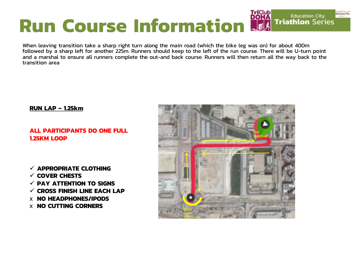## **DOHA Run Course Information**

When leaving transition take a sharp right turn along the main road (which the bike leg was on) for about 400m followed by a sharp left for another 225m. Runners should keep to the left of the run course. There will be U-turn point and a marshal to ensure all runners complete the out-and back course. Runners will then return all the way back to the transition area

### **RUN LAP – 1.25km**

## **ALL PARTICIPANTS DO ONE FULL 1.25KM LOOP**

ü **APPROPRIATE CLOTHING** ü **COVER CHESTS** ü **PAY ATTENTION TO SIGNS** ü **CROSS FINISH LINE EACH LAP** x **NO HEADPHONES/IPODS X NO CUTTING CORNERS** 



**Education City** 

**Triathlon Series**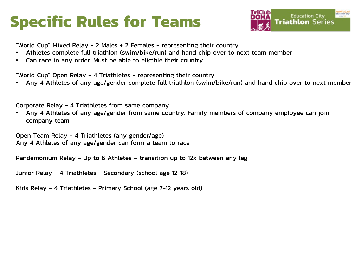# **Specific Rules for Teams**



"World Cup" Mixed Relay - 2 Males + 2 Females - representing their country

- Athletes complete full triathlon (swim/bike/run) and hand chip over to next team member
- Can race in any order. Must be able to eligible their country.

"World Cup" Open Relay - 4 Triathletes - representing their country

• Any 4 Athletes of any age/gender complete full triathlon (swim/bike/run) and hand chip over to next member

Corporate Relay - 4 Triathletes from same company

• Any 4 Athletes of any age/gender from same country. Family members of company employee can join company team

Open Team Relay - 4 Triathletes (any gender/age) Any 4 Athletes of any age/gender can form a team to race

Pandemonium Relay - Up to 6 Athletes – transition up to 12x between any leg

Junior Relay - 4 Triathletes - Secondary (school age 12-18)

Kids Relay - 4 Triathletes - Primary School (age 7-12 years old)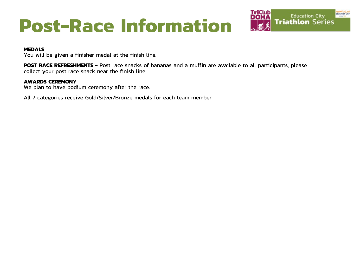# **Post-Race Information**



### **MEDALS**

You will be given a finisher medal at the finish line.

**POST RACE REFRESHMENTS -** Post race snacks of bananas and a muffin are available to all participants, please collect your post race snack near the finish line

### **AWARDS CEREMONY**

We plan to have podium ceremony after the race.

All 7 categories receive Gold/Silver/Bronze medals for each team member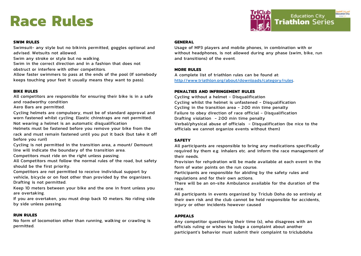## **Race Rules**



### **SWIM RULES**

Swimsuit- any style but no bikinis permitted, goggles optional and advised. Wetsuits not allowed.

Swim any stroke or style but no walking.

Swim in the correct direction and in a fashion that does not

obstruct or interfere with other competitors.

Allow faster swimmers to pass at the ends of the pool (If somebody keeps touching your feet it usually means they want to pass).

### **BIKE RULES**

All competitors are responsible for ensuring their bike is in a safe and roadworthy condition

Aero Bars are permitted.

Cycling helmets are compulsory, must be of standard approval and worn fastened whilst cycling. Elastic chinstraps are not permitted. Not wearing a helmet is an automatic disqualification

Helmets must be fastened before you remove your bike from the rack and must remain fastened until you put it back (but take it off before you run!)

Cycling is not permitted in the transition area, a mount/ Demount line will indicate the boundary of the transition area.

Competitors must ride on the right unless passing.

All Competitors must follow the normal rules of the road, but safety should be the first priority.

Competitors are not permitted to receive individual support by vehicle, bicycle or on foot other than provided by the organizers. Drafting is not permitted.

Keep 10 meters between your bike and the one in front unless you are overtaking.

If you are overtaken, you must drop back 10 meters. No riding side by side unless passing.

### **RUN RULES**

No form of locomotion other than running, walking or crawling is permitted.

### **GENERAL**

Usage of MP3 players and mobile phones, in combination with or without headphones, is not allowed during any phase (swim, bike, run and transitions) of the event.

### **MORE RULES**

A complete list of triathlon rules can be found at: [http://www.triathlon.org/about/downloads/category/rul](http://www.triathlon.org/about/downloads/category/rules)es.

### **PENALTIES AND INFRINGEMENT RULES**

Cycling without a helmet - Disqualification Cycling whilst the helmet is unfastened - Disqualification Cycling in the transition area - 2:00 min time penalty Failure to obey direction of race official - Disqualification Drafting violation - 2:00 min time penalty Verbal/physical abuse of officials - Disqualification (be nice to the officials we cannot organize events without them)

### **SAFETY**

All participants are responsible to bring any medications specifically required by them e.g. inhalers etc. and inform the race management of their needs.

Provision for rehydration will be made available at each event in the form of water points on the run course.

Participants are responsible for abiding by the safety rules and regulations and for their own actions.

There will be an on-site Ambulance available for the duration of the race.

All participants in events organized by Triclub Doha do so entirely at their own risk and the club cannot be held responsible for accidents, injury or other incidents however caused

### **APPEALS**

Any competitor questioning their time (s), who disagrees with an officials ruling or wishes to lodge a complaint about another participant's behavior must submit their complaint to triclubdoha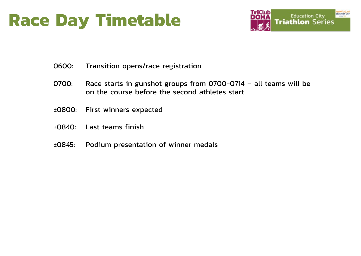# **Race Day Timetable**



- 0600: Transition opens/race registration
- 0700: Race starts in gunshot groups from 0700-0714 all teams will be on the course before the second athletes start
- ±0800: First winners expected
- ±0840: Last teams finish
- ±0845: Podium presentation of winner medals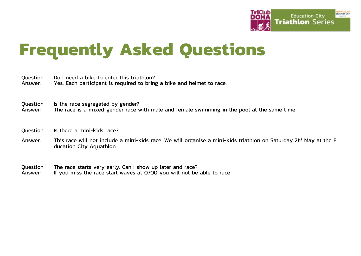

# **Frequently Asked Questions**

Question: Do I need a bike to enter this triathlon?<br>Answer: Yes Each participant is required to bring Yes. Each participant is required to bring a bike and helmet to race.

Question: Is the race segregated by gender?<br>Answer: The race is a mixed-gender race v The race is a mixed-gender race with male and female swimming in the pool at the same time

Question: Is there a mini-kids race?

Answer: This race will not include a mini-kids race. We will organise a mini-kids triathlon on Saturday 21<sup>st</sup> May at the E ducation City Aquathlon

Question: The race starts very early. Can I show up later and race?<br>Answer: If you miss the race start waves at 0700 you will not be If you miss the race start waves at 0700 you will not be able to race